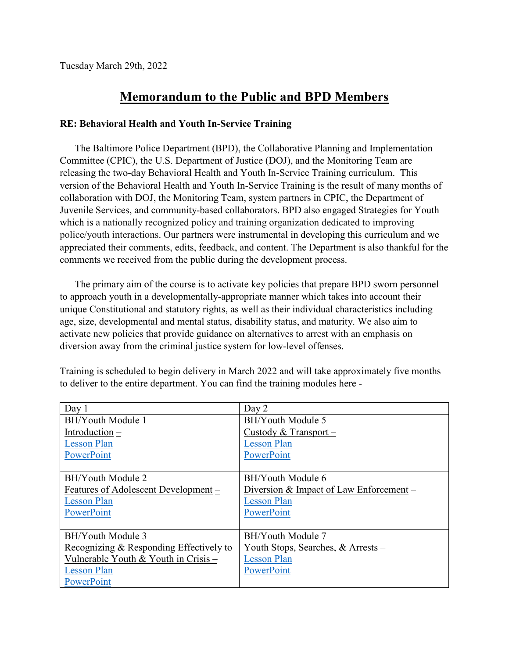Tuesday March 29th, 2022

## **Memorandum to the Public and BPD Members**

## **RE: Behavioral Health and Youth In-Service Training**

The Baltimore Police Department (BPD), the Collaborative Planning and Implementation Committee (CPIC), the U.S. Department of Justice (DOJ), and the Monitoring Team are releasing the two-day Behavioral Health and Youth In-Service Training curriculum. This version of the Behavioral Health and Youth In-Service Training is the result of many months of collaboration with DOJ, the Monitoring Team, system partners in CPIC, the Department of Juvenile Services, and community-based collaborators. BPD also engaged Strategies for Youth which is a nationally recognized policy and training organization dedicated to improving police/youth interactions. Our partners were instrumental in developing this curriculum and we appreciated their comments, edits, feedback, and content. The Department is also thankful for the comments we received from the public during the development process.

The primary aim of the course is to activate key policies that prepare BPD sworn personnel to approach youth in a developmentally-appropriate manner which takes into account their unique Constitutional and statutory rights, as well as their individual characteristics including age, size, developmental and mental status, disability status, and maturity. We also aim to activate new policies that provide guidance on alternatives to arrest with an emphasis on diversion away from the criminal justice system for low-level offenses.

| Day 1                                   | Day 2                                   |
|-----------------------------------------|-----------------------------------------|
| BH/Youth Module 1                       | BH/Youth Module 5                       |
| Introduction $-$                        | Custody & Transport -                   |
| <b>Lesson Plan</b>                      | <b>Lesson Plan</b>                      |
| PowerPoint                              | PowerPoint                              |
|                                         |                                         |
| BH/Youth Module 2                       | BH/Youth Module 6                       |
| Features of Adolescent Development –    | Diversion & Impact of Law Enforcement – |
| <b>Lesson Plan</b>                      | <b>Lesson Plan</b>                      |
| PowerPoint                              | PowerPoint                              |
|                                         |                                         |
| BH/Youth Module 3                       | BH/Youth Module 7                       |
| Recognizing & Responding Effectively to | Youth Stops, Searches, & Arrests –      |
| Vulnerable Youth & Youth in Crisis -    | <b>Lesson Plan</b>                      |
| <b>Lesson Plan</b>                      | PowerPoint                              |
| PowerPoint                              |                                         |

Training is scheduled to begin delivery in March 2022 and will take approximately five months to deliver to the entire department. You can find the training modules here -